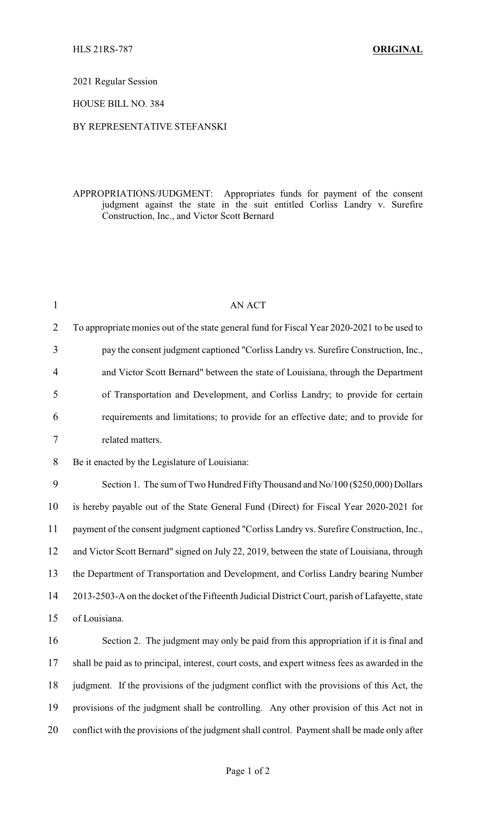2021 Regular Session

HOUSE BILL NO. 384

## BY REPRESENTATIVE STEFANSKI

## APPROPRIATIONS/JUDGMENT: Appropriates funds for payment of the consent judgment against the state in the suit entitled Corliss Landry v. Surefire Construction, Inc., and Victor Scott Bernard

| $\mathbf{1}$   | <b>AN ACT</b>                                                                                   |
|----------------|-------------------------------------------------------------------------------------------------|
| $\overline{2}$ | To appropriate monies out of the state general fund for Fiscal Year 2020-2021 to be used to     |
| 3              | pay the consent judgment captioned "Corliss Landry vs. Surefire Construction, Inc.,             |
| $\overline{4}$ | and Victor Scott Bernard" between the state of Louisiana, through the Department                |
| 5              | of Transportation and Development, and Corliss Landry; to provide for certain                   |
| 6              | requirements and limitations; to provide for an effective date; and to provide for              |
| 7              | related matters.                                                                                |
| 8              | Be it enacted by the Legislature of Louisiana:                                                  |
| 9              | Section 1. The sum of Two Hundred Fifty Thousand and No/100 (\$250,000) Dollars                 |
| 10             | is hereby payable out of the State General Fund (Direct) for Fiscal Year 2020-2021 for          |
| 11             | payment of the consent judgment captioned "Corliss Landry vs. Surefire Construction, Inc.,      |
| 12             | and Victor Scott Bernard" signed on July 22, 2019, between the state of Louisiana, through      |
| 13             | the Department of Transportation and Development, and Corliss Landry bearing Number             |
| 14             | 2013-2503-A on the docket of the Fifteenth Judicial District Court, parish of Lafayette, state  |
| 15             | of Louisiana.                                                                                   |
| 16             | Section 2. The judgment may only be paid from this appropriation if it is final and             |
| 17             | shall be paid as to principal, interest, court costs, and expert witness fees as awarded in the |
| 18             | judgment. If the provisions of the judgment conflict with the provisions of this Act, the       |
| 19             | provisions of the judgment shall be controlling. Any other provision of this Act not in         |
| 20             | conflict with the provisions of the judgment shall control. Payment shall be made only after    |